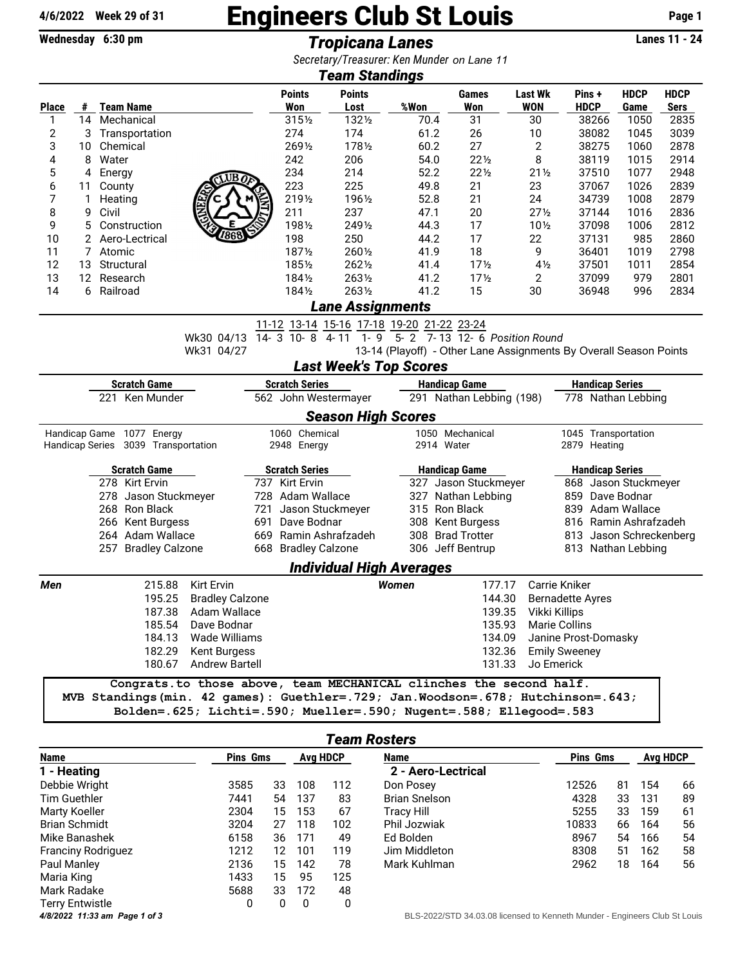## $\frac{4}{6}/2022$  Week 29 of 31 **Engineers Club St Louis** Page 1<br>Wednesday 6:30 pm<br>Tronicana Lanes

Wednesday 6:30 pm **Tropicana Lanes** 

*Secretary/Treasurer: Ken Munder on Lane 11*

| Jecietary, ricasurer. Keinmunder On Lane TT<br><b>Team Standings</b>                           |    |                                  |                                     |                                                                                 |                       |                     |                                                  |                          |                                |                                                                   |                    |                         |             |             |  |
|------------------------------------------------------------------------------------------------|----|----------------------------------|-------------------------------------|---------------------------------------------------------------------------------|-----------------------|---------------------|--------------------------------------------------|--------------------------|--------------------------------|-------------------------------------------------------------------|--------------------|-------------------------|-------------|-------------|--|
|                                                                                                |    |                                  |                                     |                                                                                 |                       | <b>Points</b>       | <b>Points</b>                                    |                          |                                | Games                                                             | <b>Last Wk</b>     | Pins +                  | <b>HDCP</b> | <b>HDCP</b> |  |
| Place                                                                                          | #  |                                  | <b>Team Name</b>                    |                                                                                 |                       | Won                 | Lost                                             | %Won                     |                                | Won                                                               | <b>WON</b>         | <b>HDCP</b>             | Game        | <b>Sers</b> |  |
| 1                                                                                              | 14 |                                  | Mechanical                          |                                                                                 |                       | 3151/2              | 1321/2                                           |                          | 70.4                           | 31                                                                | 30                 | 38266                   | 1050        | 2835        |  |
| $\overline{\mathbf{c}}$                                                                        | 3  |                                  | Transportation                      |                                                                                 |                       | 274                 | 174                                              |                          | 61.2                           | 26                                                                | 10                 | 38082                   | 1045        | 3039        |  |
| 3                                                                                              | 10 |                                  | Chemical                            |                                                                                 |                       | 2691/2              | 1781/2                                           |                          | 60.2                           | 27                                                                | 2                  | 38275                   | 1060        | 2878        |  |
| 4                                                                                              | 8  | Water                            |                                     |                                                                                 |                       | 242                 | 206                                              |                          | 54.0                           | $22\frac{1}{2}$                                                   | 8                  | 38119                   | 1015        | 2914        |  |
| 5                                                                                              | 4  | Energy                           |                                     | UB A                                                                            |                       | 234                 | 214                                              |                          | 52.2                           | $22\frac{1}{2}$                                                   | $21\frac{1}{2}$    | 37510                   | 1077        | 2948        |  |
| 6                                                                                              | 11 | County                           |                                     |                                                                                 |                       | 223                 | 225                                              |                          | 49.8                           | 21                                                                | 23                 | 37067                   | 1026        | 2839        |  |
| 7                                                                                              | 1  | Heating                          |                                     |                                                                                 |                       | 2191/2              | 1961/2                                           |                          | 52.8                           | 21                                                                | 24                 | 34739                   | 1008        | 2879        |  |
| 8                                                                                              | 9  | Civil                            |                                     |                                                                                 |                       | 211                 | 237                                              |                          | 47.1                           | 20                                                                | $27\frac{1}{2}$    | 37144                   | 1016        | 2836        |  |
| 9                                                                                              | 5  |                                  | Construction                        | 868                                                                             |                       | 1981/2              | 2491/2                                           |                          | 44.3                           | 17                                                                | $10\frac{1}{2}$    | 37098                   | 1006        | 2812        |  |
| 10                                                                                             |    |                                  | 2 Aero-Lectrical                    |                                                                                 |                       | 198                 | 250                                              |                          | 44.2                           | 17                                                                | 22                 | 37131                   | 985         | 2860        |  |
| 11                                                                                             | 7  | Atomic                           |                                     |                                                                                 |                       | 1871/2              | 2601/2                                           |                          | 41.9                           | 18                                                                | 9                  | 36401                   | 1019        | 2798        |  |
| 12                                                                                             | 13 |                                  | Structural                          |                                                                                 |                       | 1851/2              | 2621/2                                           |                          | 41.4                           | 17 <sub>2</sub>                                                   | $4\frac{1}{2}$     | 37501                   | 1011        | 2854        |  |
| 13                                                                                             | 12 |                                  | Research                            |                                                                                 |                       | 1841/2              | 2631/2                                           |                          | 41.2                           | 17 <sub>2</sub>                                                   | 2                  | 37099                   | 979         | 2801        |  |
| 14                                                                                             |    | 6 Railroad                       |                                     |                                                                                 |                       | 1841/2              | 2631/2                                           |                          | 41.2                           | 15                                                                | 30                 | 36948                   | 996         | 2834        |  |
|                                                                                                |    |                                  |                                     |                                                                                 |                       |                     | Lane Assignments                                 |                          |                                |                                                                   |                    |                         |             |             |  |
|                                                                                                |    |                                  |                                     |                                                                                 |                       |                     | <u>11-12 13-14 15-16 17-18 19-20 21-22 23-24</u> |                          |                                |                                                                   |                    |                         |             |             |  |
|                                                                                                |    |                                  |                                     | Wk30 04/13                                                                      |                       | 14-3 10-8 4-11      | $1 - 9$                                          |                          |                                | 5- 2 7-13 12- 6 Position Round                                    |                    |                         |             |             |  |
|                                                                                                |    |                                  |                                     | Wk31 04/27                                                                      |                       |                     |                                                  |                          |                                | 13-14 (Playoff) - Other Lane Assignments By Overall Season Points |                    |                         |             |             |  |
|                                                                                                |    |                                  |                                     |                                                                                 |                       |                     | <b>Last Week's Top Scores</b>                    |                          |                                |                                                                   |                    |                         |             |             |  |
| <b>Handicap Series</b><br><b>Scratch Game</b><br><b>Scratch Series</b><br><b>Handicap Game</b> |    |                                  |                                     |                                                                                 |                       |                     |                                                  |                          |                                |                                                                   |                    |                         |             |             |  |
| 221 Ken Munder                                                                                 |    |                                  |                                     |                                                                                 | 562 John Westermayer  |                     |                                                  | 291 Nathan Lebbing (198) |                                |                                                                   | 778 Nathan Lebbing |                         |             |             |  |
|                                                                                                |    |                                  |                                     |                                                                                 |                       |                     | <b>Season High Scores</b>                        |                          |                                |                                                                   |                    |                         |             |             |  |
| Handicap Game 1077 Energy                                                                      |    |                                  |                                     |                                                                                 |                       | 1060 Chemical       |                                                  |                          |                                | 1050 Mechanical                                                   |                    | 1045 Transportation     |             |             |  |
|                                                                                                |    |                                  | Handicap Series 3039 Transportation |                                                                                 |                       | 2948 Energy         |                                                  |                          |                                | 2914 Water                                                        |                    | 2879 Heating            |             |             |  |
|                                                                                                |    |                                  |                                     |                                                                                 |                       |                     |                                                  |                          |                                |                                                                   |                    |                         |             |             |  |
| <b>Scratch Game</b>                                                                            |    |                                  |                                     |                                                                                 | <b>Scratch Series</b> |                     |                                                  | <b>Handicap Game</b>     |                                | <b>Handicap Series</b>                                            |                    |                         |             |             |  |
|                                                                                                |    |                                  | 278 Kirt Ervin                      |                                                                                 |                       | 737 Kirt Ervin      |                                                  |                          |                                | 327 Jason Stuckmeyer                                              |                    | 868 Jason Stuckmeyer    |             |             |  |
|                                                                                                |    |                                  | 278 Jason Stuckmeyer                |                                                                                 |                       | 728 Adam Wallace    |                                                  |                          |                                | 327 Nathan Lebbing                                                |                    | 859 Dave Bodnar         |             |             |  |
|                                                                                                |    |                                  | 268 Ron Black                       |                                                                                 | 721                   |                     | Jason Stuckmeyer                                 |                          |                                | 315 Ron Black                                                     |                    | 839 Adam Wallace        |             |             |  |
|                                                                                                |    |                                  | 266 Kent Burgess                    |                                                                                 | 691                   | Dave Bodnar         |                                                  |                          |                                | 308 Kent Burgess                                                  |                    | 816 Ramin Ashrafzadeh   |             |             |  |
|                                                                                                |    |                                  | 264 Adam Wallace                    |                                                                                 |                       |                     | 669 Ramin Ashrafzadeh                            |                          |                                | 308 Brad Trotter                                                  |                    | 813 Jason Schreckenberg |             |             |  |
|                                                                                                |    |                                  | 257 Bradley Calzone                 |                                                                                 |                       | 668 Bradley Calzone |                                                  |                          |                                | 306 Jeff Bentrup                                                  |                    | 813 Nathan Lebbing      |             |             |  |
|                                                                                                |    |                                  |                                     |                                                                                 |                       |                     | <b>Individual High Averages</b>                  |                          |                                |                                                                   |                    |                         |             |             |  |
| Men                                                                                            |    |                                  | 215.88                              | <b>Kirt Ervin</b>                                                               |                       |                     |                                                  | <b>Women</b>             |                                | 177.17                                                            |                    | Carrie Kniker           |             |             |  |
|                                                                                                |    | 195.25<br><b>Bradley Calzone</b> |                                     |                                                                                 |                       |                     |                                                  |                          |                                | 144.30                                                            |                    | <b>Bernadette Ayres</b> |             |             |  |
|                                                                                                |    | 187.38<br>Adam Wallace           |                                     |                                                                                 |                       |                     |                                                  |                          |                                | 139.35                                                            | Vikki Killips      |                         |             |             |  |
|                                                                                                |    | 185.54<br>Dave Bodnar            |                                     |                                                                                 |                       |                     |                                                  |                          |                                | 135.93<br>Marie Collins                                           |                    |                         |             |             |  |
|                                                                                                |    | 184.13 Wade Williams             |                                     |                                                                                 |                       |                     |                                                  |                          |                                | 134.09                                                            |                    | Janine Prost-Domasky    |             |             |  |
|                                                                                                |    | 182.29 Kent Burgess              |                                     |                                                                                 |                       |                     |                                                  |                          | 132.36<br><b>Emily Sweeney</b> |                                                                   |                    |                         |             |             |  |
|                                                                                                |    |                                  |                                     | 180.67 Andrew Bartell                                                           |                       |                     |                                                  |                          |                                | 131.33                                                            | Jo Emerick         |                         |             |             |  |
|                                                                                                |    |                                  |                                     | Congrats.to those above, team MECHANICAL clinches the second half.              |                       |                     |                                                  |                          |                                |                                                                   |                    |                         |             |             |  |
|                                                                                                |    |                                  |                                     | MVB Standings(min. 42 games): Guethler=.729; Jan.Woodson=.678; Hutchinson=.643; |                       |                     |                                                  |                          |                                |                                                                   |                    |                         |             |             |  |

| <b>Team Rosters</b>           |                 |                 |     |             |                                                                            |                 |    |     |    |  |  |
|-------------------------------|-----------------|-----------------|-----|-------------|----------------------------------------------------------------------------|-----------------|----|-----|----|--|--|
| <b>Name</b>                   | <b>Pins Gms</b> | <b>Ava HDCP</b> |     | <b>Name</b> | <b>Pins Gms</b>                                                            | <b>Avg HDCP</b> |    |     |    |  |  |
| 1 - Heating                   |                 |                 |     |             | 2 - Aero-Lectrical                                                         |                 |    |     |    |  |  |
| Debbie Wright                 | 3585            | 33              | 108 | 112         | Don Posey                                                                  | 12526           | 81 | 154 | 66 |  |  |
| Tim Guethler                  | 7441            | 54              | 137 | 83          | <b>Brian Snelson</b>                                                       | 4328            | 33 | 131 | 89 |  |  |
| Marty Koeller                 | 2304            | 15              | 153 | 67          | <b>Tracy Hill</b>                                                          | 5255            | 33 | 159 | 61 |  |  |
| <b>Brian Schmidt</b>          | 3204            | 27              | 118 | 102         | Phil Jozwiak                                                               | 10833           | 66 | 164 | 56 |  |  |
| Mike Banashek                 | 6158            | 36              | 171 | 49          | Ed Bolden                                                                  | 8967            | 54 | 166 | 54 |  |  |
| <b>Franciny Rodriguez</b>     | 1212            | 12              | 101 | 119         | Jim Middleton                                                              | 8308            | 51 | 162 | 58 |  |  |
| Paul Manley                   | 2136            | 15              | 142 | 78          | Mark Kuhlman                                                               | 2962            | 18 | 164 | 56 |  |  |
| Maria King                    | 1433            | 15              | 95  | 125         |                                                                            |                 |    |     |    |  |  |
| Mark Radake                   | 5688            | 33              | 172 | 48          |                                                                            |                 |    |     |    |  |  |
| <b>Terry Entwistle</b>        | 0               | 0               | 0   | 0           |                                                                            |                 |    |     |    |  |  |
| 4/8/2022 11:33 am Page 1 of 3 |                 |                 |     |             | BLS-2022/STD 34.03.08 licensed to Kenneth Munder - Engineers Club St Louis |                 |    |     |    |  |  |

Bolden=.625; Lichti=.590; Mueller=.590; Nugent=.588; Ellegood=.583